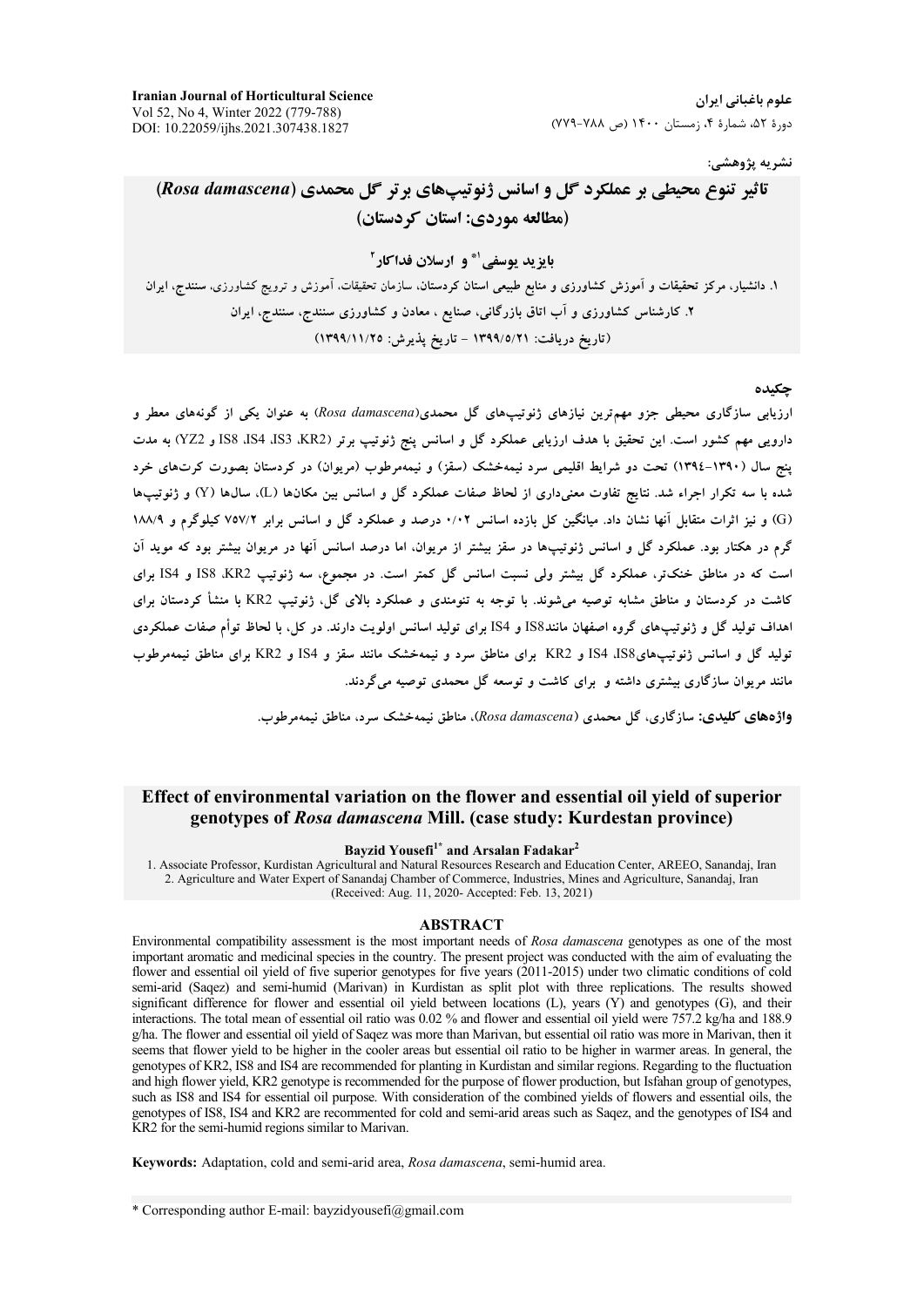**Iranian Journal of Horticultural Science** Vol 52, No 4, Winter 2022 (779-788) DOI: 10.22059/ijhs.2021.307438.1827

علوم باغیانی ایران دورهٔ ۵۲، شمارهٔ ۴، زمستان ۱۴۰۰ (ص ۷۸۸-۷۷۹)

نشريه پژوهشي:

# تاثیر تنوع محیطی بر عملکرد گل و اسانس ژنوتیپهای برتر گل محمدی (Rosa damascena) (مطالعه موردي: استان كردستان)

بایزید یوسفی'\* و ارسلان فداکار آ

۱. دانشیار، مرکز تحقیقات و آموزش کشاورزی و منابع طبیعی استان کردستان، سازمان تحقیقات، آموزش و ترویج کشاورزی، سنندج، ایران ۲. کارشناس کشاورزی و آب اتاق بازرگانی، صنایع ، معادن و کشاورزی سنندج، سنندج، ایران (تاريخ دريافت: ١٣٩٩/٥/٢١ - تاريخ پذيرش: ١٣٩٩/١١/٢٥)

### حكىدە

ارزیابی سازگاری محیطی جزو مهمترین نیازهای ژنوتیپهای گل محمدی(Rosa damascena) به عنوان یکی از گونههای معطر و دارویی مهم کشور است. این تحقیق با هدف ارزیابی عملکرد گل و اسانس پنج ژنوتیپ برتر (KR2، IS3، IS4 IS3 و YZ2) به مدت پنج سال (۱۳۹۰–۱۳۹۶) تحت دو شرایط اقلیمی سرد نیمهخشک (سقز) و نیمهمرطوب (مریوان) در کردستان بصورت کرتهای خرد شده با سه تکرار اجراء شد. نتایج تفاوت معنیداری از لحاظ صفات عملکرد گل و اسانس بین مکانها (L)، سال&ا (Y) و ژنوتیپها (G) و نیز اثرات متقابل آنها نشان داد. میانگین کل بازده اسانس ۰/۰۲ درصد و عملکرد گل و اسانس برابر ۷۵۷/۲ کیلوگرم و ۱۸۸/۹ گرم در هکتار بود. عملکرد گل و اسانس ژنوتیپها در سقز بیشتر از مریوان، اما درصد اسانس آنها در مریوان بیشتر بود که موید آن است که در مناطق خنکتر، عملکرد گا<sub>،</sub> بیشتر ولی نسبت اسانس گل کمتر است. در مجموع، سه ژنوتیپ IS8 ،KR2 و IS4 برای کاشت در کردستان و مناطق مشابه توصیه میشوند. با توجه به تنومندی و عملکرد بالای گل، ژنوتیپ KR2 با منشأ کردستان برای اهداف تولید گل و ژنوتیپهای گروه اصفهان مانندIS8 و IS4 برای تولید اسانس اولویت دارند. در کل، با لحاظ توأم صفات عملکردی تولید گل و اسانس ژنوتیپهایIS4 ،IS8 و KR2 برای مناطق سرد و نیمهخشک مانند سقز و IS4 و KR2 برای مناطق نیمهم طوب مانند مربوان سازگاری بیشتری داشته و برای کاشت و توسعه گل محمدی توصیه می گردند.

واژدهای کلیدی: سازگاری، گل محمدی (Rosa damascena)، مناطق نیمهخشک سرد، مناطق نیمهمرطوب.

# Effect of environmental variation on the flower and essential oil yield of superior genotypes of Rosa damascena Mill. (case study: Kurdestan province)

Bayzid Yousefi<sup>1\*</sup> and Arsalan Fadakar<sup>2</sup>

1. Associate Professor, Kurdistan Agricultural and Natural Resources Research and Education Center, AREEO, Sanandaj, Iran 2. Agriculture and Water Expert of Sanandaj Chamber of Commerce, Industries, Mines and Agriculture, Sanandaj, Iran (Received: Aug. 11, 2020- Accepted: Feb. 13, 2021)

#### **ABSTRACT**

Environmental compatibility assessment is the most important needs of Rosa damascena genotypes as one of the most important aromatic and medicinal species in the country. The present project was conducted with the aim of evaluating the flower and essential oil yield of five superior genotypes for five years (2011-2015) under two climatic conditions of cold semi-arid (Saqez) and semi-humid (Marivan) in Kurdistan as split plot with three replications. The results showed significant difference for flower and essential oil yield between locations (L), years (Y) and genotypes (G), and their interactions. The total mean of essential oil ratio was 0.02 % and flower and essential oil yield were 757.2 kg/ha and 188.9 g/ha. The flower and essential oil yield of Saqez was more than Marivan, but essential oil ratio was more in Marivan, then it seems that flower yield to be higher in the cooler areas but essential oil ratio to be higher in warmer areas. In general, the genotypes of KR2, IS8 and IS4 are recommended for planting in Kurdistan and similar regions. Regarding to the fluctuation and high flower yield, KR2 genotype is recommended for the purpose of flower production, but Isfahan group of genotypes, such as IS8 and IS4 for essential oil purpose. With consideration of the combined yields of flowers and essential oils, the genotypes of IS8, IS4 and KR2 are recommented for cold and semi-arid areas such as Saqez, and the genotypes of IS4 and KR2 for the semi-humid regions similar to Marivan.

Keywords: Adaptation, cold and semi-arid area, Rosa damascena, semi-humid area.

\* Corresponding author E-mail: bayzidyousefi@gmail.com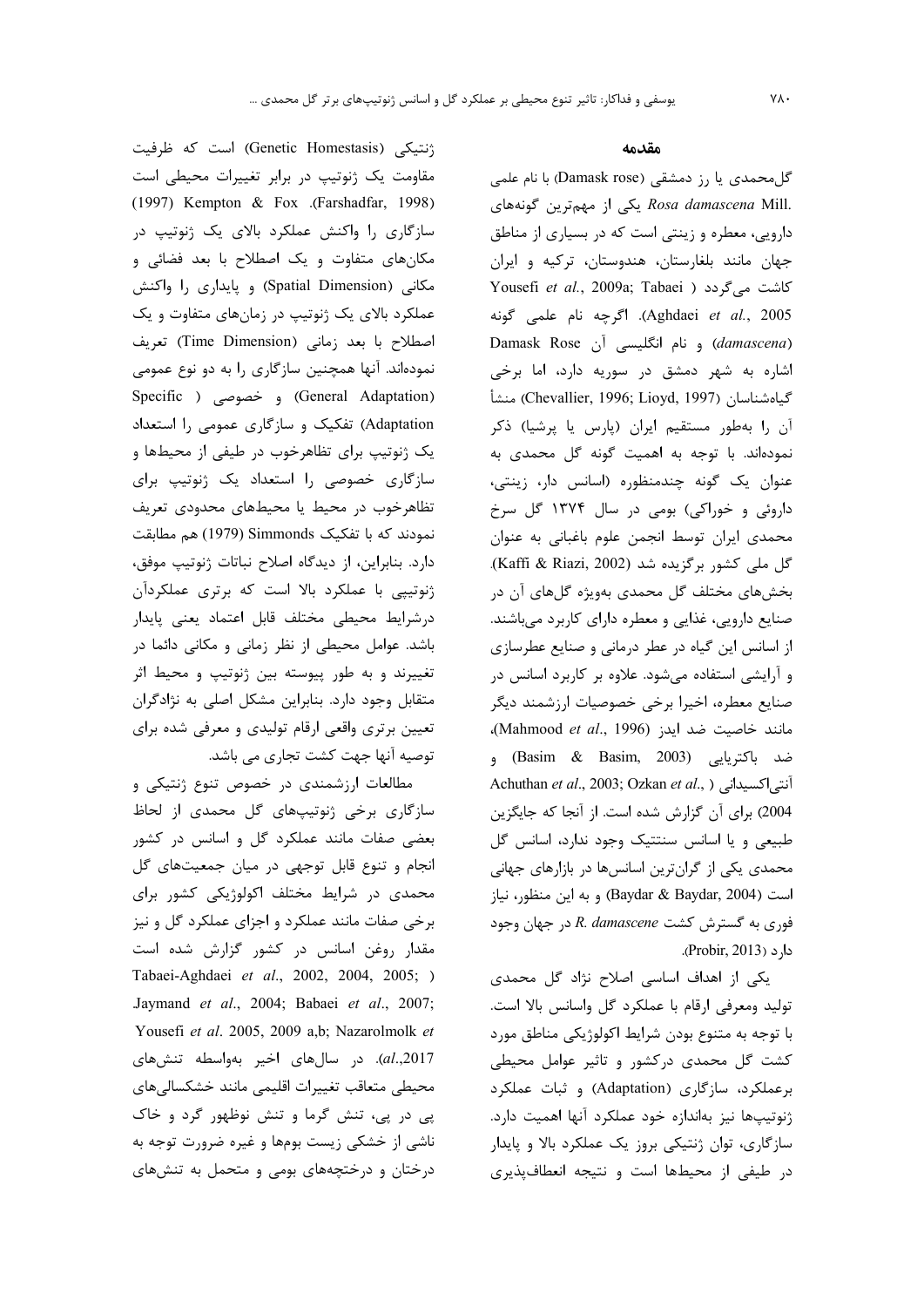ژنتیکی (Genetic Homestasis) است که ظرفیت مقاومت یک ژنوتیپ در برابر تغییرات محیطی است (1997) Kempton & Fox .(Farshadfar, 1998) سازگاری را واکنش عملکرد بالای یک ژنوتیپ در مکانهای متفاوت و یک اصطلاح با بعد فضائی و مکانی (Spatial Dimension) و پایداری را واکنش عملکرد بالای یک ژنوتیپ در زمانهای متفاوت و یک اصطلاح با بعد زمانی (Time Dimension) تعریف نمودهاند. آنها همچنین سازگاری را به دو نوع عمومی (General Adaptation) و خصوصی ( Specific Adaptation) تفکیک و سازگاری عمومی را استعداد یک ژنوتیپ برای تظاهرخوب در طیفی از محیطها و سازگاری خصوصی را استعداد یک ژنوتیپ برای تظاهرخوب در محيط يا محيطهاى محدودى تعريف نمودند که با تفکیک Simmonds (1979) هم مطابقت دارد. بنابراین، از دیدگاه اصلاح نباتات ژنوتیپ موفق، ژنوتیپی با عملکرد بالا است که برتری عملکردآن درشرايط محيطى مختلف قابل اعتماد يعنى پايدار باشد. عوامل محیطی از نظر زمانی و مکانی دائما در تغییرند و به طور پیوسته بین ژنوتیپ و محیط اثر متقابل وجود دارد. بنابراین مشکل اصلی به نژادگران تعیین برتری واقعی ارقام تولیدی و معرفی شده برای توصيه آنها جهت كشت تجاري مي باشد.

مطالعات ارزشمندی در خصوص تنوع ژنتیکی و سازگاری برخی ژنوتیپهای گل محمدی از لحاظ بعضی صفات مانند عملکرد گل و اسانس در کشور انجام و تنوع قابل توجهي در ميان جمعيتهاى گل محمدی در شرایط مختلف اکولوژیکی کشور برای برخی صفات مانند عملکرد و اجزای عملکرد گل و نیز مقدار روغن اسانس در کشور گزارش شده است Tabaei-Aghdaei et al., 2002, 2004, 2005; ) Jaymand et al., 2004; Babaei et al., 2007; Yousefi et al. 2005, 2009 a,b; Nazarolmolk et al.,2017). در سال های اخیر بهواسطه تنش های محيطى متعاقب تغييرات اقليمى مانند خشكسالىهاى پی در پی، تنش گرما و تنش نوظهور گرد و خاک ناشی از خشکی زیست بومها و غیره ضرورت توجه به درختان و درختچههای بومی و متحمل به تنشهای

#### مقدمه

گلمحمدی یا رز دمشقی (Damask rose) با نام علمی Rosa damascena Mill. یکی از مهمترین گونههای دارویی، معطره و زینتی است که در بسیاری از مناطق جهان مانند بلغارستان، هندوستان، ترکیه و ایران Yousefi et al., 2009a; Tabaei ) كاشت مى گردد ( Aghdaei et al., 2005). اگرچه نام علمی گونه Damask Rose و نام انگلیسی آن Damask Rose اشاره به شهر دمشق در سوریه دارد، اما برخی كياهشناسان (Chevallier, 1996; Lioyd, 1997) منشأ آن را بهطور مستقیم ایران (پارس یا پرشیا) ذکر نمودهاند. با توجه به اهمیت گونه گل محمدی به عنوان یک گونه چندمنظوره (اسانس دار، زینتی، داروئی و خوراکی) بومی در سال ۱۳۷۴ گل سرخ محمدی ایران توسط انجمن علوم باغبانی به عنوان گل ملی کشور برگزیده شد (Kaffi & Riazi, 2002). بخشهای مختلف گل محمدی بهویژه گلهای آن در صنایع دارویی، غذایی و معطره دارای کاربرد میباشند. از اسانس این گیاه در عطر درمانی و صنایع عطرسازی و آرایشی استفاده میشود. علاوه بر کاربرد اسانس در صنايع معطره، اخيرا برخي خصوصيات ارزشمند ديگر مانند خاصیت ضد اید<sub>ز</sub> (Mahmood et al., 1996)، ضد باكتريايي (Basim & Basim, 2003) و Achuthan et al., 2003; Ozkan et al., ) أنتي اكسيداني ( 2004) برای آن گزارش شده است. از آنجا که جایگزین طبیعی و یا اسانس سنتتیک وجود ندارد، اسانس گل محمدی یکی از گرانترین اسانسها در بازارهای جهانی است (Baydar & Baydar, 2004) و به این منظور، نیاز فوری به گسترش کشت R. damascene در جهان وجود دارد (Probir, 2013).

یکی از اهداف اساسی اصلاح نژاد گل محمدی توليد ومعرفي ارقام با عملكرد گل واسانس بالا است. با توجه به متنوع بودن شرايط اكولوژيكي مناطق مورد کشت گل محمدی درکشور و تاثیر عوامل محیطی برعملکرد، سازگاری (Adaptation) و ثبات عملکرد ژنوتیپها نیز بهاندازه خود عملکرد آنها اهمیت دارد. سازگاری، توان ژنتیکی بروز یک عملکرد بالا و پایدار در طیفی از محیطها است و نتیجه انعطاف پذیری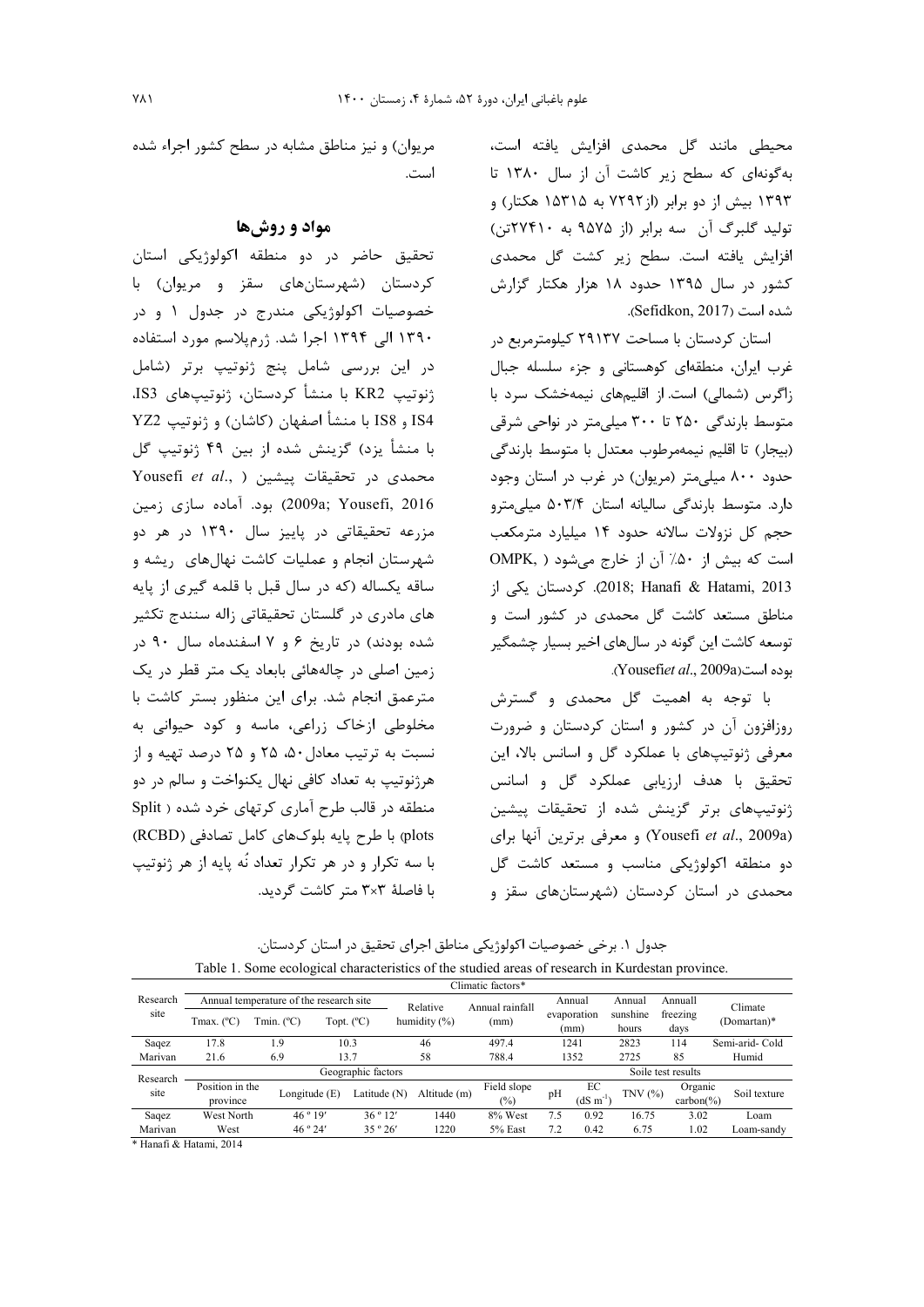محیطی مانند گل محمدی افزایش یافته است، بهگونهای که سطح زیر کاشت آن از سال ١٣٨٠ تا ۱۳۹۳ بیش از دو برابر (از ۷۲۹۲ به ۱۵۳۱۵ هکتار) و تولید گلبرگ آن سه برابر (از ۹۵۷۵ به ۲۷۴۱۰تن) افزایش یافته است. سطح زیر کشت گل محمدی کشور در سال ۱۳۹۵ حدود ۱۸ هزار هکتار گزارش شده است (Sefidkon, 2017).

استان کردستان با مساحت ۲۹۱۳۷ کیلومترمربع در غرب ايران، منطقهاي كوهستاني و جزء سلسله جبال زاگرس (شمالی) است. از اقلیمهای نیمهخشک سرد با متوسط بارندگی ۲۵۰ تا ۳۰۰ میلی متر در نواحی شرقی (بیجار) تا اقلیم نیمهمرطوب معتدل با متوسط بارندگی حدود ۸۰۰ میلی متر (مریوان) در غرب در استان وجود دارد. متوسط بارندگی سالیانه استان ۵۰۳/۴ میلی مترو حجم کل نزولات سالانه حدود ۱۴ میلیارد مترمکعب است که بیش از ۵۰٪ آن از خارج می شود ( OMPK, 2013; Hanafi & Hatami, 2013). كردستان يكي از مناطق مستعد کاشت گل محمدی در کشور است و توسعه کاشت این گونه در سالهای اخیر بسیار چشمگیر بوده است(Yousefiet al., 2009a).

با توجه به اهمیت گل محمدی و گسترش روزافزون آن در کشور و استان کردستان و ضرورت معرفی ژنوتیپهای با عملکرد گل و اسانس بالا، این تحقیق با هدف ارزیابی عملکرد گل و اسانس ژنوتیپهای برتر گزینش شده از تحقیقات پیشین (Yousefi et al., 2009a) و معرفی برترین آنها برای دو منطقه اکولوژیکی مناسب و مستعد کاشت گل محمدی در استان کردستان (شهرستانهای سقز و

مريوان) و نيز مناطق مشابه در سطح كشور اجراء شده است.

# مواد و روشها

تحقیق حاضر در دو منطقه اکولوژیکی استان کردستان (شهرستانهای سقز و مریوان) با خصوصیات اکولوژیکی مندرج در جدول ۱ و در ۱۳۹۰ الی ۱۳۹۴ اجرا شد. ژرمپلاسم مورد استفاده در این بررسی شامل پنج ژنوتیپ برتر (شامل ژنوتیپ KR2 با منشأ کردستان، ژنوتیپهای IS3. IS4 و IS8 با منشأ اصفهان (كاشان) و ژنوتيپ YZ2 با منشأ يزد) گزينش شده از بين ۴۹ ژنوتيپ گل Yousefi et al., ) بيشين Yousefi et al., ) 2009a; Yousefi, 2016) بود. آماده سازی زمین مزرعه تحقیقاتی در پاییز سال ۱۳۹۰ در هر دو شهرستان انجام و عملیات کاشت نهالهای ریشه و ساقه یکساله (که در سال قبل با قلمه گیری از پایه های مادری در گلستان تحقیقاتی زاله سنندج تکثیر شده بودند) در تاریخ ۶ و ۷ اسفندماه سال ۹۰ در زمین اصلی در چالههائی بابعاد یک متر قطر در یک مترعمق انجام شد. برای این منظور بستر کاشت با مخلوطی ازخاک زراعی، ماسه و کود حیوانی به نسبت به ترتیب معادل ۵۰، ۲۵ و ۲۵ درصد تهیه و از هرژنوتیپ به تعداد کافی نهال یکنواخت و سالم در دو منطقه در قالب طرح آماری کرتهای خرد شده ( Split plots) با طرح پایه بلوکهای کامل تصادفی (RCBD) با سه تکرار و در هر تکرار تعداد نُه پایه از هر ژنوتیپ با فاصلهٔ ۳×۳ متر کاشت گردید.

جدول ۱. برخی خصوصیات اکولوژیکی مناطق اجرای تحقیق در استان کردستان. Table 1. Some ecological characteristics of the studied areas of research in Kurdestan province.

|                  | Climatic factors*                       |               |            |              |                 |                 |                    |                  |           |           |                 |
|------------------|-----------------------------------------|---------------|------------|--------------|-----------------|-----------------|--------------------|------------------|-----------|-----------|-----------------|
| Research<br>site | Annual temperature of the research site |               |            |              | Relative        | Annual rainfall |                    | Annual           | Annual    | Annuall   | Climate         |
|                  |                                         | Tmin. (°C)    |            |              | humidity $(\%)$ | (mm)            |                    | evaporation      | sunshine  | freezing  |                 |
|                  | Tmax. (°C)                              |               | Topt. (°C) |              |                 |                 | (mm)               |                  | hours     | days      | (Domartan)*     |
| Saqez            | 17.8                                    | 1.9           |            | 10.3         | 46              | 497.4           |                    | 1241             | 2823      | 114       | Semi-arid- Cold |
| Marivan          | 21.6                                    | 6.9           |            | 13.7         | 58              | 788.4           |                    | 1352             | 2725      | 85        | Humid           |
| Research         | Geographic factors                      |               |            |              |                 |                 | Soile test results |                  |           |           |                 |
| site             | Position in the                         |               |            |              |                 | Field slope     |                    | ЕC               |           | Organic   |                 |
|                  | province                                | Longitude (E) |            | Latitude (N) | Altitude (m)    | $(\%)$          | pH                 | $(dS \, m^{-1})$ | TNV $(%)$ | carbon(%) | Soil texture    |
| Saqez            | West North                              | 46°19'        |            | 36°12'       | 1440            | 8% West         | 7.5                | 0.92             | 16.75     | 3.02      | Loam            |
| Marivan          | West                                    | 46°24'        |            | 35°26'       | 1220            | 5% East         | 7.2                | 0.42             | 6.75      | 1.02      | Loam-sandv      |

\* Hanafi & Hatami, 2014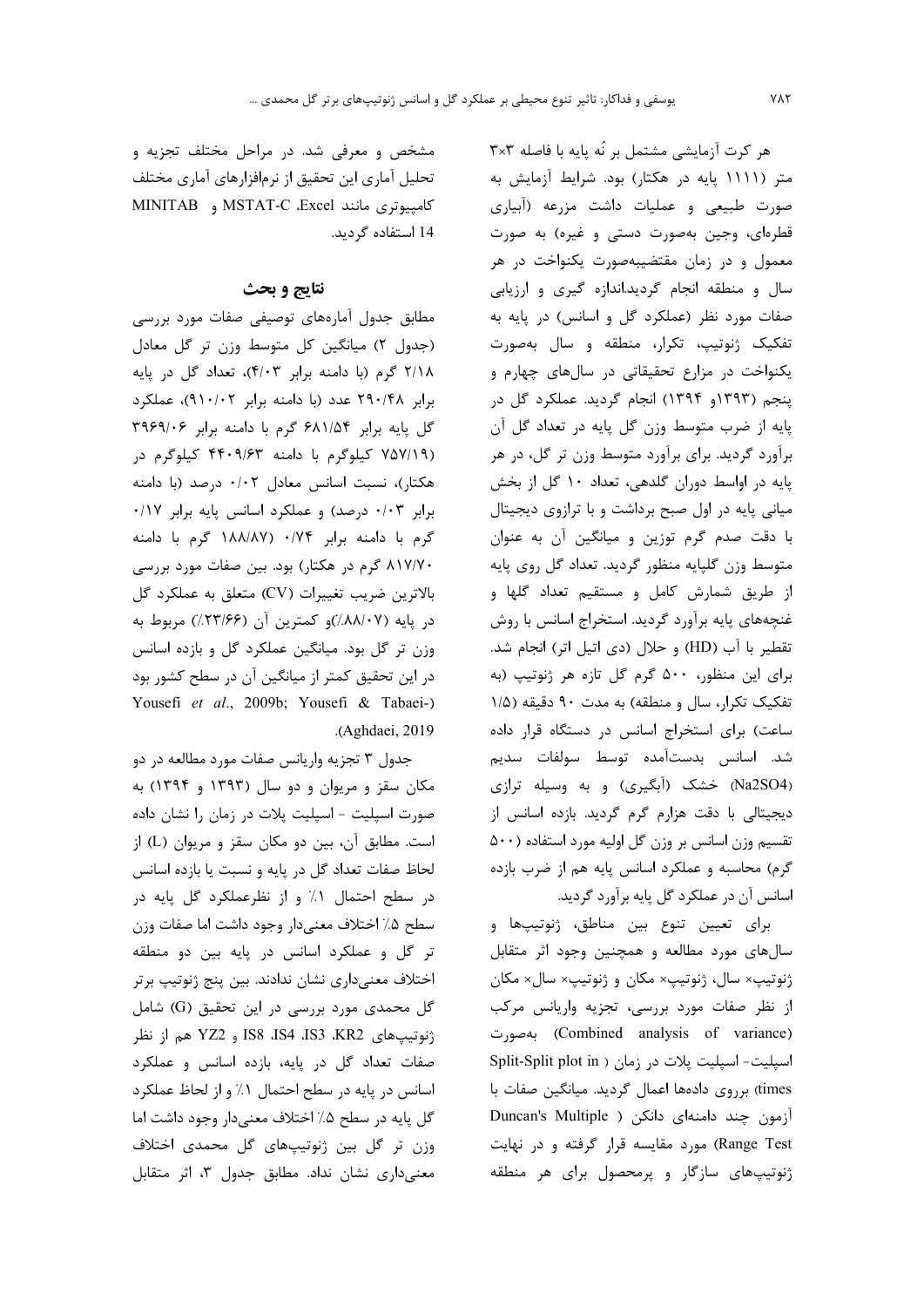هر كرت آزمايشي مشتمل بر نُه يايه با فاصله ٣×٣ متر (۱۱۱۱ پایه در هکتار) بود. شرایط آزمایش به صورت طبیعی و عملیات داشت مزرعه (آبیاری قطرهای، وجین بهصورت دستی و غیره) به صورت معمول و در زمان مقتضیبهصورت یکنواخت در هر سال و منطقه انجام گردید.اندازه گیری و ارزیابی صفات مورد نظر (عملکرد گل و اسانس) در پایه به تفکیک ژنوتیپ، تکرار، منطقه و سال بهصورت یکنواخت در مزارع تحقیقاتی در سالهای چهارم و پنجم (۱۳۹۳و ۱۳۹۴) انجام گردید. عملکرد گل در پايه از ضرب متوسط وزن گل پايه در تعداد گل آن برآورد گردید. برای برآورد متوسط وزن تر گل، در هر پایه در اواسط دوران گلدهی، تعداد ۱۰ گل از بخش میانی پایه در اول صبح برداشت و با ترازوی دیجیتال با دقت صدم گرم توزین و میانگین آن به عنوان متوسط وزن گلپايه منظور گرديد. تعداد گل روي پايه از طریق شمارش کامل و مستقیم تعداد گلها و غنچههای پایه برآورد گردید. استخراج اسانس با روش تقطير با آب (HD) وحلال (دى اتيل اتر) انجام شد. برای این منظور، ۵۰۰ گرم گل تازه هر ژنوتیپ (به تفکیک تکرار، سال و منطقه) به مدت ۹۰ دقیقه (۱/۵ ساعت) برای استخراج اسانس در دستگاه قرار داده شد. اسانس بدستآمده توسط سولفات سدیم (Na2SO4) خشک (آبگیری) و به وسیله ترازی ديجيتالي با دقت هزارم گرم گرديد. بازده اسانس از تقسیم وزن اسانس بر وزن گل اولیه مورد استفاده (۵۰۰ گرم) محاسبه و عملکرد اسانس پایه هم از ضرب بازده اسانس آن در عملکرد گل پایه برآورد گردید.

براي تعيين تنوع بين مناطق، ژنوتيپها و سال های مورد مطالعه و همچنین وجود اثر متقابل ژنوتيپ× سال، ژنوتيپ× مكان و ژنوتيپ× سال× مكان از نظر صفات مورد بررسی، تجزیه واریانس مرکب (Combined analysis of variance) بەصورت اسپلیت- اسپلیت پلات در زمان ( Split-Split plot in times) برروی دادهها اعمال گردید. میانگین صفات با آزمون چند دامنهای دانکن ( Duncan's Multiple Range Test) مورد مقايسه قرار گرفته و در نهايت ژنوتیپهای سازگار و پرمحصول برای هر منطقه

مشخص و معرفی شد. در مراحل مختلف تجزیه و تحلیل آماری این تحقیق از نرمافزارهای آماری مختلف كامپيوترى مانند MSTAT-C ،Excel و MINITAB 14 استفاده گردید.

## نتايج و بحث

مطابق جدول أمارههای توصیفی صفات مورد بررسی (جدول ٢) ميانگين كل متوسط وزن تر گل معادل ٢/١٨ گرم (با دامنه برابر ۴/٠٣)، تعداد گل در پايه برابر ۲۹۰/۴۸ عدد (با دامنه برابر ۹۱۰/۰۲)، عملکرد گل پایه برابر ۶۸۱/۵۴ گرم با دامنه برابر ۳۹۶۹/۰۶ (۷۵۷/۱۹ کیلوگرم با دامنه ۴۴۰۹/۶۳ کیلوگرم در هكتار)، نسبت اسانس معادل ٠/٠٢ درصد (با دامنه برابر ۰/۰۳ درصد) و عملکرد اسانس پایه برابر ۰/۱۷ گرم با دامنه برابر ۰/۷۴ (۱۸۸/۸۷ گرم با دامنه ۸۱۷/۷۰ گرم در هکتار) بود. بین صفات مورد بررسی بالاترين ضريب تغييرات (CV) متعلق به عملكرد گل  $\lambda$ در یایه (۸۸/۰۷) و کمترین آن (۲۳/۶۶) مربوط به وزن تر گل بود. میانگین عملکرد گل و بازده اسانس در این تحقیق کمتر از میانگین آن در سطح کشور بود Yousefi et al., 2009b; Yousefi & Tabaei-) .(Aghdaei, 2019).

جدول ۳ تجزیه واریانس صفات مورد مطالعه در دو مکان سقز و مریوان و دو سال (۱۳۹۳ و ۱۳۹۴) به صورت اسپلیت - اسپلیت پلات در زمان را نشان داده است. مطابق آن، بین دو مکان سقز و مریوان (L) از لحاظ صفات تعداد گل در پایه و نسبت یا بازده اسانس در سطح احتمال ۱٪ و از نظرعملکرد گل پایه در سطح ۵٪ اختلاف معنىدار وجود داشت اما صفات وزن تر گل و عملکرد اسانس در پایه بین دو منطقه اختلاف معنىدارى نشان ندادند. بين پنج ژنوتيپ برتر گل محمدی مورد بررسی در این تحقیق (G) شامل ژنوتیپهای IS8 ،IS4 ،IS3 ،KR2 و YZ2 هم از نظر صفات تعداد گل در پایه، بازده اسانس و عملکرد اسانس در پایه در سطح احتمال ۱٪ و از لحاظ عملکرد گل پایه در سطح ۵٪ اختلاف معنی دار وجود داشت اما وزن تر گل بین ژنوتیپهای گل محمدی اختلاف معنیداری نشان نداد. مطابق جدول ۳، اثر متقابل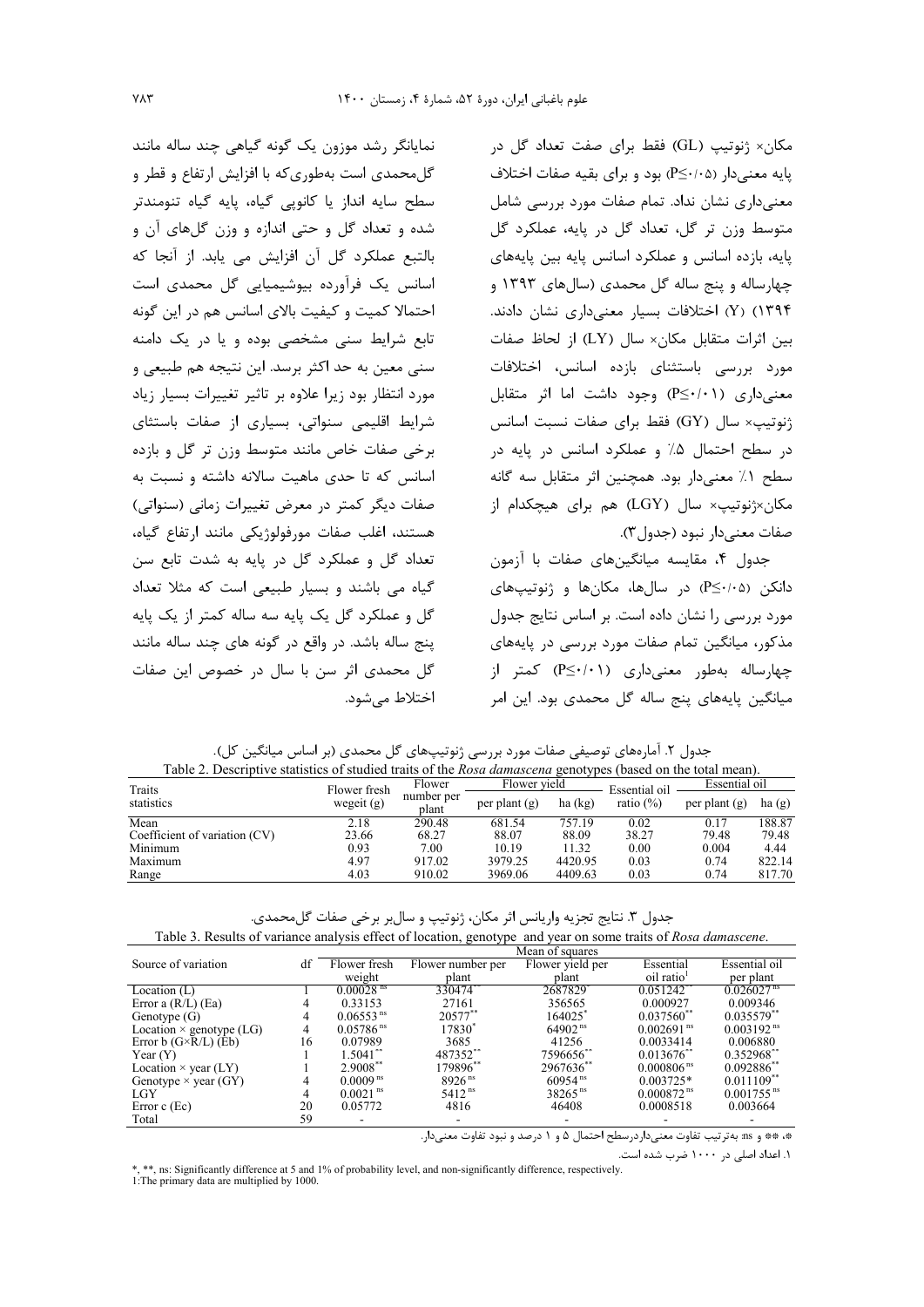مکان× ژنوتیپ (GL) فقط برای صفت تعداد گل در پایه معنیدار (P≤٠/٠۵) بود و برای بقیه صفات اختلاف معنی داری نشان نداد. تمام صفات مورد بررسی شامل متوسط وزن تر گل، تعداد گل در پایه، عملکرد گل يايه، بازده اسانس و عملكرد اسانس يايه بين يايههاى چهارساله و پنج ساله گل محمدی (سالهای ۱۳۹۳ و Y) (Y) اختلافات بسیار معنیداری نشان دادند. بين اثرات متقابل مكان× سال (LY) از لحاظ صفات مورد بررسی باستثنای بازده اسانس، اختلافات معنیداری (P≤·/·۱) وجود داشت اما اثر متقابل ژنوتیپ× سال (GY) فقط برای صفات نسبت اسانس در سطح احتمال ۵٪ و عملکرد اسانس در پایه در سطح ١٪ معنى دار بود. همچنين اثر متقابل سه گانه مکان×ژنوتیپ× سال (LGY) هم برای هیچکدام از صفات معنى دار نبود (جدول٣).

جدول ۴، مقایسه میانگینهای صفات با آزمون دانکن (۵۰/۰≥P) در سالها، مکانها و ژنوتیپهای مورد بررسی را نشان داده است. بر اساس نتایج جدول مذکور، میانگین تمام صفات مورد بررسی در پایههای چهارساله بهطور معنیداری (P≤·/۰۱) کمتر از میانگین پایههای پنج ساله گل محمدی بود. این امر

 $0.00\,$ 

0.03

11.32

4420.95

| جدول ۲. آمارههای توصیفی صفات مورد بررسی ژنوتیپهای گل محمدی (بر اساس میانگین کل).                                  |              |                     |                 |           |               |                 |
|-------------------------------------------------------------------------------------------------------------------|--------------|---------------------|-----------------|-----------|---------------|-----------------|
| Table 2. Descriptive statistics of studied traits of the <i>Rosa damascena</i> genotypes (based on the total mean |              |                     |                 |           |               |                 |
| Traits                                                                                                            | Flower fresh | Flower              | Flower yield    |           | Essential oil | Essential       |
| statistics                                                                                                        | wegeit $(g)$ | number per<br>plant | per plant $(g)$ | ha $(kg)$ | ratio $(\%)$  | per plant $(g)$ |
| Mean                                                                                                              | 2.18         | 290.48              | 681.54          | 757.19    | 0.02          | 0.17            |
| Coefficient of variation (CV)                                                                                     | 23.66        | 68.27               | 88.07           | 88.09     | 38.27         | 79.48           |

7.00

917.02

اختلاط مي شود.

0.93

4.97

| 4.03                                                                    | 910.02 | 3969.06 | 4409.63 | 0.03 | 0.74 | 817.70 |
|-------------------------------------------------------------------------|--------|---------|---------|------|------|--------|
|                                                                         |        |         |         |      |      |        |
|                                                                         |        |         |         |      |      |        |
| جدول ۳. نتايج تجزيه واريانس اثر مكان، ژنوتيپ و سالبر برخي صفات گلمحمدي. |        |         |         |      |      |        |

10.19

3979.25

Table 3. Results of variance analysis effect of location, genotype and year on some traits of Rosa damascene.

|                                 |    |                         |                    | Mean of squares  |                          |                          |
|---------------------------------|----|-------------------------|--------------------|------------------|--------------------------|--------------------------|
| Source of variation             | df | Flower fresh            | Flower number per  | Flower yield per | Essential                | Essential oil            |
|                                 |    | weight                  | plant              | plant            | oil ratio                | per plant                |
| Location $(L)$                  |    | $0.00028$ <sup>ns</sup> | 330474**           | 2687829          | 0.051242                 | $0.026027^{\text{ns}}$   |
| Error a $(R/L)$ (Ea)            |    | 0.33153                 | 27161              | 356565           | 0.000927                 | 0.009346                 |
| Genotype $(G)$                  | 4  | 0.06553 <sup>ns</sup>   | 20577**            | 164025           | $0.037560^{**}$          | $0.035579$ **            |
| Location $\times$ genotype (LG) | 4  | $0.05786$ <sup>ns</sup> | 17830 <sup>*</sup> | $64902^{ns}$     | $0.002691$ <sup>ns</sup> | $0.003192^{ns}$          |
| Error $b(G \times R/L)$ (Eb)    | 16 | 0.07989                 | 3685               | 41256            | 0.0033414                | 0.006880                 |
| Year $(Y)$                      |    | $1.5041$ **             | 487352**           | 7596656**        | $0.013676$ <sup>**</sup> | $0.352968$ **            |
| Location $\times$ year (LY)     |    | $2.9008$ <sup>**</sup>  | 179896**           | 2967636**        | $0.000806$ <sup>ns</sup> | $0.092886$ **            |
| Genotype $\times$ year (GY)     | 4  | $0.0009$ <sup>ns</sup>  | $8926^{ns}$        | $60954^{ns}$     | $0.003725*$              | $0.011109$ <sup>**</sup> |
| LGY                             | 4  | $0.0021$ <sup>ns</sup>  | $5412^{ns}$        | $38265^{ns}$     | $0.000872$ <sup>ns</sup> | $0.001755$ <sup>ns</sup> |
| Error $c$ (Ec)                  | 20 | 0.05772                 | 4816               | 46408            | 0.0008518                | 0.003664                 |
| Total                           | 59 |                         |                    |                  |                          |                          |

\*، \*\* و ms: به ترتيب تفاوت معنى دار در سطح احتمال ۵ و ۱ درصد و نبود تفاوت معنى دار.

۱. اعداد اصلی در ۱۰۰۰ ضرب شده است.

ha $(g)$ 

188.87

79.48

4.44

822.14

0.004

0.74

\*\*, ns: Significantly difference at 5 and 1% of probability level, and non-significantly difference, respectively. 1: The primary data are multiplied by  $1000$ .

Minimum

Maximum

Range

نمایانگر رشد موزون یک گونه گیاهی چند ساله مانند

گلمحمدی است بهطوری که با افزایش ارتفاع و قطر و

سطح سایه انداز یا کانویی گیاه، پایه گیاه تنومندتر

شده و تعداد گل و حتی اندازه و وزن گلهای آن و

بالتبع عملكرد گل آن افزايش مي يابد. از آنجا كه

اسانس یک فرآورده بیوشیمیایی گل محمدی است

احتمالا کمیت و کیفیت بالای اسانس هم در این گونه

تابع شرایط سنی مشخصی بوده و یا در یک دامنه

سني معين به حد اکثر برسد. اين نتيجه هم طبيعي و

مورد انتظار بود زیرا علاوه بر تاثیر تغییرات بسیار زیاد

شرایط اقلیمی سنواتی، بسیاری از صفات باستثای برخی صفات خاص مانند متوسط وزن تر گل و بازده

اسانس که تا حدی ماهیت سالانه داشته و نسبت به

صفات دیگر کمتر در معرض تغییرات زمانی (سنواتی)

هستند، اغلب صفات مورفولوژيكي مانند ارتفاع گياه،

تعداد گل و عملکرد گل در پایه به شدت تابع سن

گیاه می باشند و بسیار طبیعی است که مثلا تعداد گل و عملکرد گل یک پایه سه ساله کمتر از یک پایه

ينج ساله باشد. در واقع در گونه هاي چند ساله مانند

گل محمدی اثر سن با سال در خصوص این صفات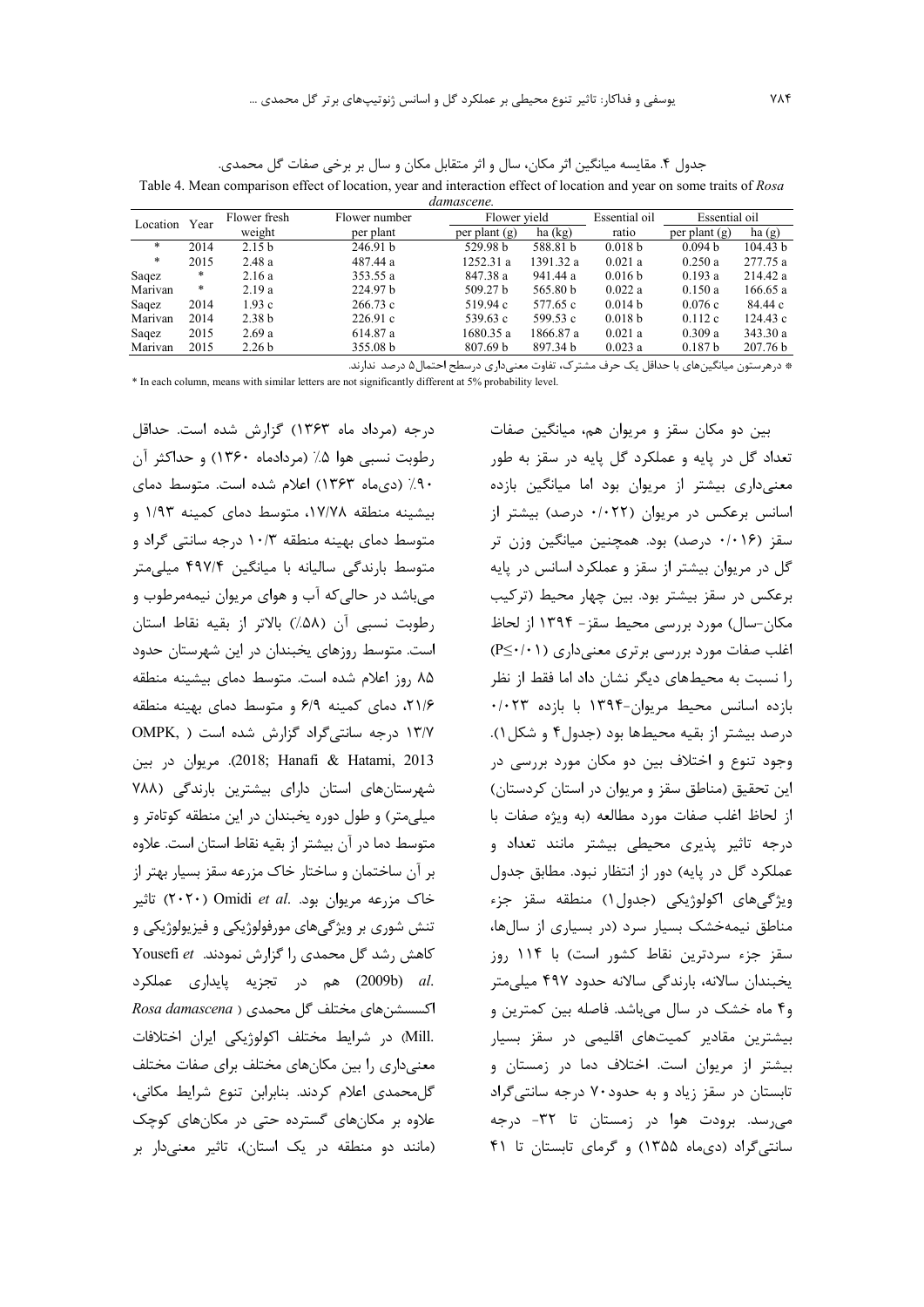جدول ۴. مقايسه ميانگين اثر مكان، سال و اثر متقابل مكان و سال بر برخي صفات گل محمدي. Table 4. Mean comparison effect of location, year and interaction effect of location and year on some traits of Rosa

| Essential oil<br>Flower fresh<br>Essential oil<br>Flower yield<br>Flower number<br>Year       | ha(g)    |
|-----------------------------------------------------------------------------------------------|----------|
|                                                                                               |          |
| Location<br>weight<br>ratio<br>ha (kg)<br>per plant<br>per plant $(g)$<br>per plant $(g)$     |          |
| $\ast$<br>246.91 b<br>0.094 b<br>2014<br>2.15 <sub>b</sub><br>529.98 b<br>588.81 b<br>0.018 b | 104.43 b |
| $\ast$<br>2015<br>0.021a<br>0.250a<br>2.48a<br>487.44 a<br>1252.31a<br>1391.32 a              | 277.75 a |
| $\ast$<br>941.44 a<br>0.193a<br>2.16a<br>353.55 a<br>847.38 a<br>0.016 b<br>Saqez             | 214.42 a |
| $\ast$<br>224.97 <sub>b</sub><br>Marivan<br>2.19a<br>565.80 b<br>0.150a<br>509.27 b<br>0.022a | 166.65a  |
| 1.93c<br>0.076c<br>2014<br>266.73c<br>519.94 c<br>0.014 b<br>577.65 c<br>Saqez                | 84.44 c  |
| Marivan<br>226.91c<br>2014<br>2.38 <sub>b</sub><br>0.018 b<br>0.112c<br>539.63 c<br>599.53 c  | 124.43c  |
| 2.69a<br>614.87 a<br>1680.35 a<br>1866.87 a<br>0.021a<br>0.309a<br>2015<br>Saqez              | 343.30 a |
| 2015<br>2.26 <sub>b</sub><br>355.08 b<br>807.69 b<br>897.34 b<br>0.023a<br>0.187 b<br>Marivan | 207.76 b |

\* درهرستون میانگینهای با حداقل یک حرف مشترک، تفاوت معنیداری درسطح احتمال۵ درصد ندارند.

\* In each column, means with similar letters are not significantly different at 5% probability level.

درجه (مرداد ماه ۱۳۶۳) گزارش شده است. حداقل رطوبت نسبي هوا ۰.۵ (مردادماه ۱۳۶۰) و حداكثر آن ۹۰٪ (دیماه ۱۳۶۳) اعلام شده است. متوسط دمای بیشینه منطقه ۱۷/۷۸، متوسط دمای کمینه ۱/۹۳ و متوسط دمای بهینه منطقه ۱۰/۳ درجه سانتی گراد و متوسط بارندگی سالیانه با میانگین ۴۹۷/۴ میلی متر می باشد در حالی که آب و هوای مریوان نیمهمرطوب و رطوبت نسبي آن (۵۸٪) بالاتر از بقيه نقاط استان است. متوسط روزهای یخبندان در این شهرستان حدود ۸۵ روز اعلام شده است. متوسط دمای بیشینه منطقه ٢١/۶، دمای کمینه ۶/٩ و متوسط دمای بهینه منطقه ١٣/٧ درجه سانتي گراد گزارش شده است ( OMPK, 2013). مريوان در بين (2018; Hanafi & Hatami, 2013). مريوان در شهرستانهای استان دارای بیشترین بارندگی (۷۸۸ میلی متر) و طول دوره یخبندان در این منطقه کوتاهتر و متوسط دما در آن بیشتر از بقیه نقاط استان است. علاوه بر آن ساختمان و ساختار خاک مزرعه سقز بسیار بهتر از خاک مزرعه مریوان بود. Omidi et al. تاثیر تنش شوري بر ويژگيهاي مورفولوژيکي و فيزيولوژيکي و Yousefi et محمدی را گزارش نمودند. Yousefi et .al (2009b) هم در تجزيه پايداري عملكرد Rosa damascena) ) مختلف گل محمدی .Mill) در شرایط مختلف اکولوژیکی ایران اختلافات معنیداری را بین مکانهای مختلف برای صفات مختلف گل محمدی اعلام کردند. بنابرابن تنوع شرایط مکانی، علاوه بر مکانهای گسترده حتی در مکانهای کوچک (مانند دو منطقه در یک استان)، تاثیر معنیدار بر

بين دو مكان سقز و مريوان هم، ميانگين صفات تعداد گل در پایه و عملکرد گل پایه در سقز به طور معنی داری بیشتر از مریوان بود اما میانگین بازده اسانس برعکس در مربوان (۰/۰۲۲ درصد) بیشتر از سقز (۰/۰۱۶ درصد) بود. همچنین میانگین وزن تر گل در مريوان بيشتر از سقز و عملكرد اسانس در پايه برعکس در سقز بیشتر بود. بین چهار محیط (ترکیب مكان-سال) مورد بررسي محيط سقز- ۱۳۹۴ از لحاظ اغلب صفات مورد بررسی برتری معنیداری (۱۰+⁄-P≤) را نسبت به محیطهای دیگر نشان داد اما فقط از نظر بازده اسانس محيط مريوان-١٣٩۴ با بازده ٠/٠٢٣ درصد بيشتر از بقيه محيطها بود (جدول۴ و شكل ۱). وجود تنوع و اختلاف بين دو مكان مورد بررسي در این تحقیق (مناطق سقز و مریوان در استان کردستان) از لحاظ اغلب صفات مورد مطالعه (به ویژه صفات با درجه تاثیر پذیری محیطی بیشتر مانند تعداد و عملکرد گل در پایه) دور از انتظار نبود. مطابق جدول ويژگىهاى اكولوژيكى (جدول١) منطقه سقز جزء مناطق نیمهخشک بسیار سرد (در بسیاری از سالها، سقز جزء سردترين نقاط كشور است) با ۱۱۴ روز يخبندان سالانه، بارندگي سالانه حدود ۴۹۷ ميلي متر و۴ ماه خشک در سال میباشد. فاصله بین کمترین و بیشترین مقادیر کمیتهای اقلیمی در سقز بسیار بیشتر از مریوان است. اختلاف دما در زمستان و تابستان در سقز زیاد و به حدود ۷۰ درجه سانتی گراد می رسد. برودت هوا در زمستان تا ۳۲- درجه سانتی گراد (دیماه ۱۳۵۵) و گرمای تابستان تا ۴۱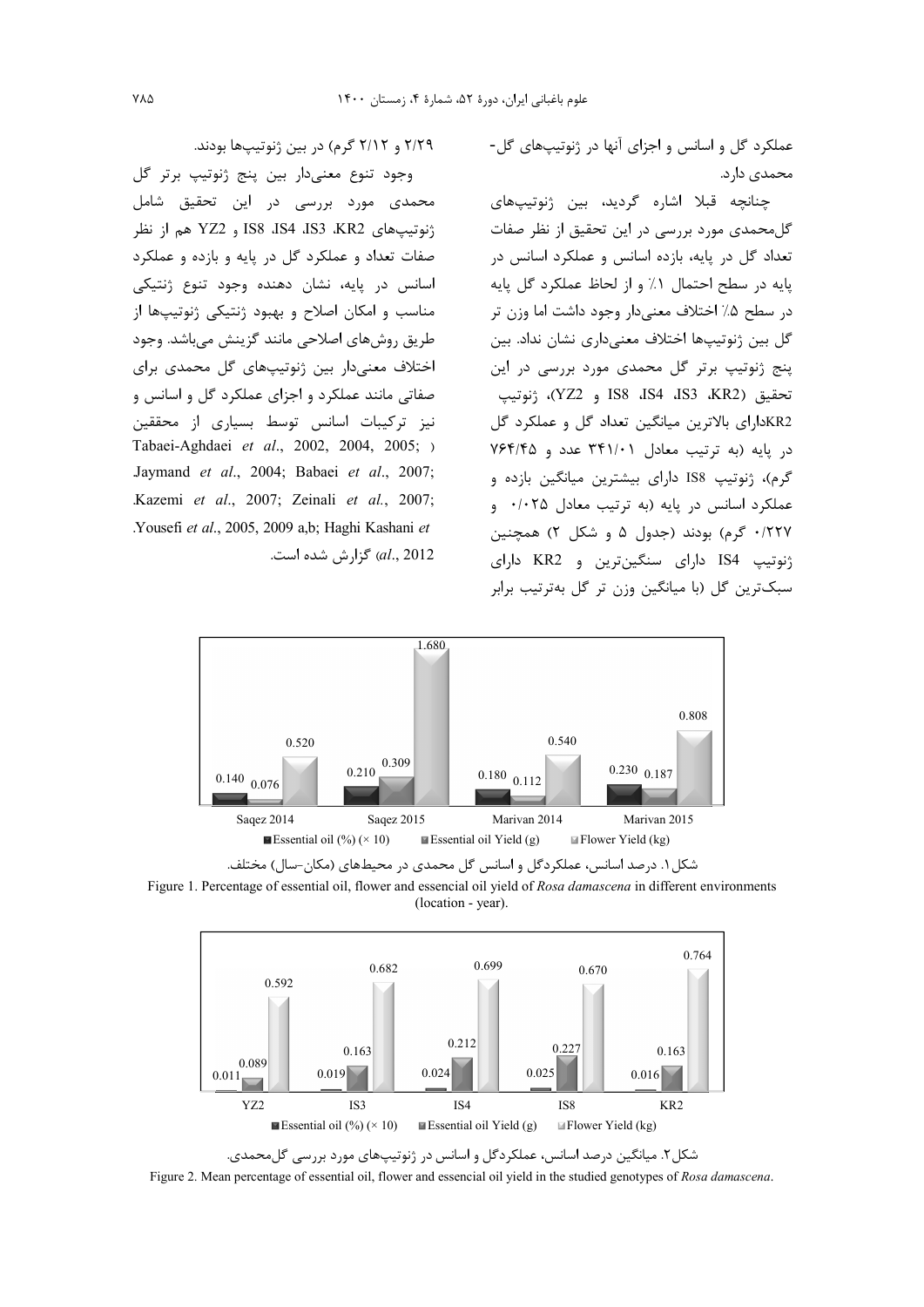عملکرد گل و اسانس و اجزای آنها در ژنوتیپهای گل-محمدی دارد.

چنانچه قبلا اشاره گردید، بین ژنوتیپهای گلمحمدی مورد بررسی در این تحقیق از نظر صفات .<br>تعداد گل در پایه، بازده اسانس و عملکرد اسانس در يايه در سطح احتمال ١٪ و از لحاظ عملكرد گل پايه در سطح ۵٪ اختلاف معنیدار وجود داشت اما وزن تر گل بین ژنوتیپها اختلاف معنیداری نشان نداد. بین پنج ژنوتیپ برتر گل محمدی مورد بررسی در این تحقيق (KR2، IS8، IS4، IS3، KR2)، ژنوتيپ KR2دارای بالاترین میانگین تعداد گل و عملکرد گل در یایه (به ترتیب معادل ۳۴۱/۰۱ عدد و ۷۶۴/۴۵ گرم)، ژنوتیپ IS8 دارای بیشترین میانگین بازده و عملکرد اسانس در پایه (به ترتیب معادل ۰/۰۲۵ و ۰/۲۲۷ گرم) بودند (جدول ۵ و شکل ۲) همچنین ژنوتیپ IS4 دارای سنگینترین و KR2 دارای سبک ترین گل (با میانگین وزن تر گل به ترتیب برابر

۲/۲۹ و ۲/۱۲ گرم) در بین ژنوتیپها بودند.

وجود تنوع معنىدار بين پنج ژنوتيپ برتر گل محمدی مورد بررسی در این تحقیق شامل ژنوتیپهای KR2 ،IS8 ،IS4 ،IS3 ،KR2 و YZ2 هم از نظر صفات تعداد و عملکرد گل در پایه و بازده و عملکرد اسانس در پایه، نشان دهنده وجود تنوع ژنتیکی مناسب و امکان اصلاح و بهبود ژنتیکی ژنوتیپها از طريق روش هاي اصلاحي مانند گزينش مي باشد. وجود اختلاف معنی دار بین ژنوتیپهای گل محمدی برای صفاتی مانند عملکرد و اجزای عملکرد گل و اسانس و نیز ترکیبات اسانس توسط بسیاری از محققین Tabaei-Aghdaei et al., 2002, 2004, 2005; ) Jaymand et al., 2004; Babaei et al., 2007; .Kazemi et al., 2007; Zeinali et al., 2007; Yousefi et al., 2005, 2009 a,b; Haghi Kashani et al., 2012) گزارش شده است.





Figure 1. Percentage of essential oil, flower and essencial oil yield of Rosa damascena in different environments (location - year).



شکل۲. میانگین درصد اسانس، عملکردگل و اسانس در ژنوتیپهای مورد بررسی گلمحمدی.

Figure 2. Mean percentage of essential oil, flower and essencial oil yield in the studied genotypes of Rosa damascena.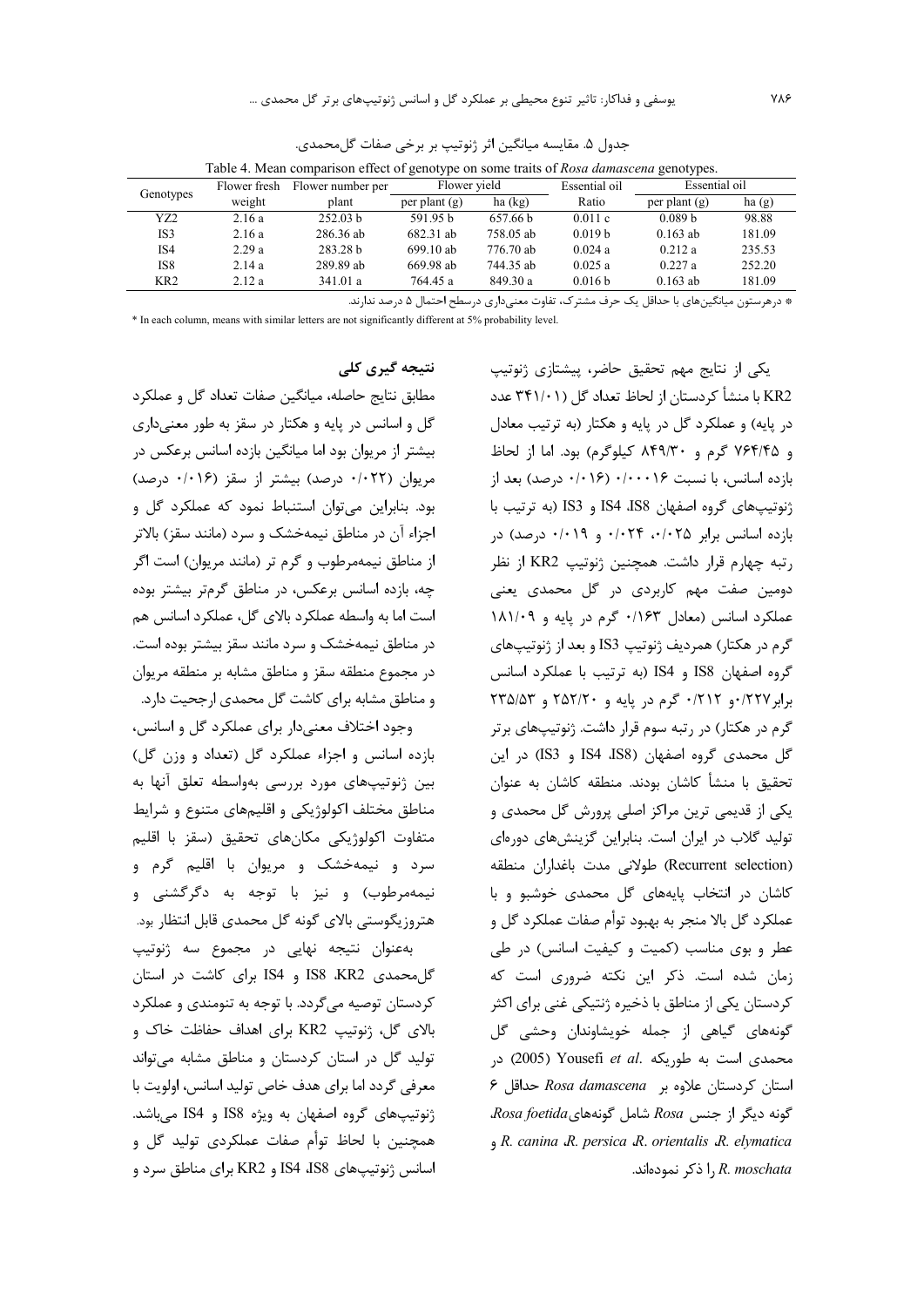|                 | Flower fresh | Flower number per   | Flower yield    |           | Essential oil      | Essential oil      |        |
|-----------------|--------------|---------------------|-----------------|-----------|--------------------|--------------------|--------|
| Genotypes       | weight       | plant               | per plant $(g)$ | ha (kg)   | Ratio              | per plant $(g)$    | ha(g)  |
| YZ2             | 2.16a        | 252.03 b            | 591.95 b        | 657.66 b  | 0.011c             | 0.089 <sub>b</sub> | 98.88  |
| IS3             | 2.16a        | 286.36 ab           | 682.31 ab       | 758.05 ab | 0.019 <sub>b</sub> | $0.163$ ab         | 181.09 |
| IS4             | 2.29a        | 283.28 <sub>b</sub> | $699.10$ ab     | 776.70 ab | 0.024a             | 0.212a             | 235.53 |
| IS8             | 2.14a        | 289.89 ab           | 669.98 ab       | 744.35 ab | 0.025a             | 0.227a             | 252.20 |
| KR <sub>2</sub> | 2.12a        | 341.01 a            | 764.45 a        | 849.30a   | 0.016 b            | $0.163$ ab         | 181.09 |

جدول ۵. مقايسه ميانگين اثر ژنوتيپ بر برخي صفات گلمحمدي. Table 4. Mean comparison effect of genotype on some traits of Rosa damascena genotypes.

\* درهرستون میانگینهای با حداقل یک حرف مشترک، تفاوت معنیداری درسطح احتمال ۵ درصد ندارند.

\* In each column, means with similar letters are not significantly different at 5% probability level.

نتىجە گىرى كلى مطابق نتايج حاصله، ميانگين صفات تعداد گل و عملكرد گل و اسانس در پایه و هکتار در سقز به طور معنیداری بیشتر از مریوان بود اما میانگین بازده اسانس برعکس در مريوان (٠/٠٢٢ درصد) بيشتر از سقز (٠/٠١۶ درصد) بود. بنابراین می توان استنباط نمود که عملکرد گل و اجزاء آن در مناطق نیمهخشک و سرد (مانند سقز) بالاتر از مناطق نیمهمرطوب و گرم تر (مانند مریوان) است اگر چه، بازده اسانس برعکس، در مناطق گرمتر بیشتر بوده است اما به واسطه عملکرد بالای گل، عملکرد اسانس هم در مناطق نیمهخشک و سرد مانند سقز بیشتر بوده است.

در مجموع منطقه سقز و مناطق مشابه بر منطقه مربوان و مناطق مشابه برای کاشت گل محمدی ارجحیت دارد. وجود اختلاف معنی دار برای عملکرد گل و اسانس، بازده اسانس و اجزاء عملكرد گل (تعداد و وزن گل) بین ژنوتیپهای مورد بررسی بهواسطه تعلق آنها به

مناطق مختلف اکولوژیکی و اقلیمهای متنوع و شرایط متفاوت اكولوژيكى مكانهاى تحقيق (سقز با اقليم سرد و نیمهخشک و مربوان با اقلیم گرم و نيمهمرطوب) و نيز با توجه به دگرگشنی و هتروزیگوستی بالای گونه گل محمدی قابل انتظار بود. بهعنوان نتيجه نهايى در مجموع سه ژنوتيپ

گل محمدی IS8 ،KR2 و IS4 برای کاشت در استان کردستان توصیه میگردد. با توجه به تنومندی و عملکرد بالای گل، ژنوتیپ KR2 برای اهداف حفاظت خاک و تولید گل در استان کردستان و مناطق مشابه میتواند معرفی گردد اما برای هدف خاص تولید اسانس، اولویت با ژنوتیپهای گروه اصفهان به ویژه IS8 و IS4 میباشد. همچنین با لحاظ توأم صفات عملکردی تولید گل و اسانس ژنوتیپهای IS4 ،IS8 و KR2 برای مناطق سرد و

یکی از نتایج مهم تحقیق حاضر، پیشتازی ژنوتیپ KR2 با منشأ كردستان از لحاظ تعداد گل (۳۴۱/۰۱ عدد در پایه) و عملکرد گل در پایه و هکتار (به ترتیب معادل و ۷۶۴/۴۵ گرم و ۸۴۹/۳۰ کیلوگرم) بود. اما از لحاظ بازده اسانس، با نسبت ۰/۰۰۰۱۶ (۰/۰۱۶ درصد) بعد از ژنوتیپهای گروه اصفهان IS8 ،IS8 و IS3 (به ترتیب با  $\cdot$ بازده اسانس برابر ۰/۰۲۴ ۰/۰۲۵ و ۰/۰۱۹ درصد) در رتبه چهارم قرار داشت. همچنین ژنوتیپ KR2 از نظر دومین صفت مهم کاربردی در گل محمدی یعنی عملکرد اسانس (معادل ۱۱۶۳۰ گرم در پایه و ۱۸۱/۰۹ گرم در هکتار) همرديف ژنوتيپ IS3 و بعد از ژنوتيپهاى گروه اصفهان IS8 و IS4 (به ترتیب با عملکرد اسانس برابر ۰/۲۲۷ و ۰/۲۱۲ گرم در پایه و ۲۵۲/۲۰ و ۲۳۵/۵۳ گرم در هکتار) در رتبه سوم قرار داشت. ژنوتیپهای برتر گل محمدی گروه اصفهان (IS8، IS4 و IS3) در این تحقیق با منشأ کاشان بودند. منطقه کاشان به عنوان یکی از قدیمی ترین مراکز اصلی پرورش گل محمدی و تولید گلاب در ایران است. بنابراین گزینشهای دورهای (Recurrent selection) طولانی مدت باغداران منطقه کاشان در انتخاب پایههای گل محمدی خوشبو و با عملكرد گل بالا منجر به بهبود توأم صفات عملكرد گل و عطر و بوی مناسب (کمیت و کیفیت اسانس) در طی زمان شده است. ذکر این نکته ضروری است که کردستان یکی از مناطق با ذخیره ژنتیکی غنی برای اکثر گونههای گیاهی از جمله خویشاوندان وحشی گل محمدی است به طوریکه .Yousefi et al (2005) در P استان کردستان علاوه بر Rosa damascena حداقل ۶ Rosa foetida شامل گونههای Rosa foetida. R. canina R. persica R. orientalis R. elymatica l, R. moschata ( ذکر نمودهاند.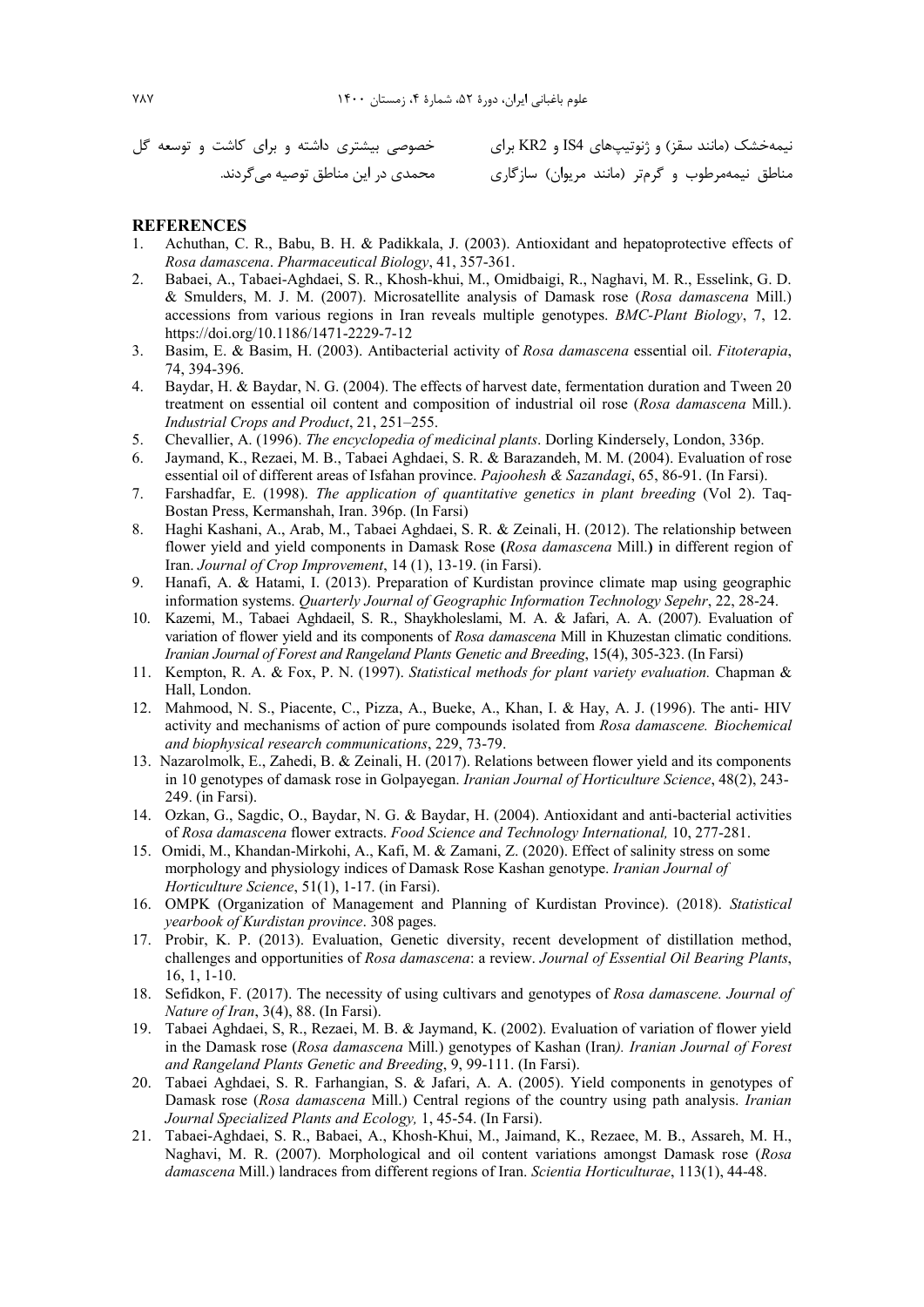محمدي در اين مناطق توصيه مي گردند.

نیمهخشک (مانند سقز) و ژنوتیپهای IS4 و KR2 برای مصنع حصوصی بیشتری داشته و برای کاشت و توسعه گل مناطق نیمهمرطوب و گرمتر (مانند مریوان) سازگاری

## **REFERENCES**

- 1. Achuthan, C. R., Babu, B. H. & Padikkala, J. (2003). Antioxidant and hepatoprotective effects of *Rosa damascena*. *Pharmaceutical Biology*, 41, 357-361.
- 2. Babaei, A., Tabaei-Aghdaei, S. R., Khosh-khui, M., Omidbaigi, R., Naghavi, M. R., Esselink, G. D. & Smulders, M. J. M. (2007). Microsatellite analysis of Damask rose (*Rosa damascena* Mill.) accessions from various regions in Iran reveals multiple genotypes. *BMC-Plant Biology*, 7, 12. https://doi.org/10.1186/1471-2229-7-12
- 3. Basim, E. & Basim, H. (2003). Antibacterial activity of *Rosa damascena* essential oil. *Fitoterapia*, 74, 394-396.
- 4. Baydar, H. & Baydar, N. G. (2004). The effects of harvest date, fermentation duration and Tween 20 treatment on essential oil content and composition of industrial oil rose (*Rosa damascena* Mill.). *Industrial Crops and Product*, 21, 251–255.
- 5. Chevallier, A. (1996). *The encyclopedia of medicinal plants*. Dorling Kindersely, London, 336p.
- 6. Jaymand, K., Rezaei, M. B., Tabaei Aghdaei, S. R. & Barazandeh, M. M. (2004). Evaluation of rose essential oil of different areas of Isfahan province. *Pajoohesh & Sazandagi*, 65, 86-91. (In Farsi).
- 7. Farshadfar, E. (1998). *The application of quantitative genetics in plant breeding* (Vol 2). Taq-Bostan Press, Kermanshah, Iran. 396p. (In Farsi)
- 8. Haghi Kashani, A., Arab, M., Tabaei Aghdaei, S. R. & Zeinali, H. (2012). The relationship between flower yield and yield components in Damask Rose **(***Rosa damascena* Mill.**)** in different region of Iran. *Journal of Crop Improvement*, 14 (1), 13-19. (in Farsi).
- 9. Hanafi, A. & Hatami, I. (2013). Preparation of Kurdistan province climate map using geographic information systems. *Quarterly Journal of Geographic Information Technology Sepehr*, 22, 28-24.
- 10. Kazemi, M., Tabaei Aghdaeil, S. R., Shaykholeslami, M. A. & Jafari, A. A. (2007). Evaluation of variation of flower yield and its components of *Rosa damascena* Mill in Khuzestan climatic conditions. *Iranian Journal of Forest and Rangeland Plants Genetic and Breeding*, 15(4), 305-323. (In Farsi)
- 11. Kempton, R. A. & Fox, P. N. (1997). *Statistical methods for plant variety evaluation.* Chapman & Hall, London.
- 12. Mahmood, N. S., Piacente, C., Pizza, A., Bueke, A., Khan, I. & Hay, A. J. (1996). The anti- HIV activity and mechanisms of action of pure compounds isolated from *Rosa damascene. Biochemical and biophysical research communications*, 229, 73-79.
- 13. Nazarolmolk, E., Zahedi, B. & Zeinali, H. (2017). Relations between flower yield and its components in 10 genotypes of damask rose in Golpayegan. *Iranian Journal of Horticulture Science*, 48(2), 243- 249. (in Farsi).
- 14. Ozkan, G., Sagdic, O., Baydar, N. G. & Baydar, H. (2004). Antioxidant and anti-bacterial activities of *Rosa damascena* flower extracts. *Food Science and Technology International,* 10, 277-281.
- 15. Omidi, M., Khandan-Mirkohi, A., Kafi, M. & Zamani, Z. (2020). Effect of salinity stress on some morphology and physiology indices of Damask Rose Kashan genotype. *Iranian Journal of Horticulture Science*, 51(1), 1-17. (in Farsi).
- 16. OMPK (Organization of Management and Planning of Kurdistan Province). (2018). *Statistical yearbook of Kurdistan province*. 308 pages.
- 17. Probir, K. P. (2013). Evaluation, Genetic diversity, recent development of distillation method, challenges and opportunities of *Rosa damascena*: a review. *Journal of Essential Oil Bearing Plants*, 16, 1, 1-10.
- 18. Sefidkon, F. (2017). The necessity of using cultivars and genotypes of *Rosa damascene. Journal of Nature of Iran*, 3(4), 88. (In Farsi).
- 19. Tabaei Aghdaei, S, R., Rezaei, M. B. & Jaymand, K. (2002). Evaluation of variation of flower yield in the Damask rose (*Rosa damascena* Mill.) genotypes of Kashan (Iran*). Iranian Journal of Forest and Rangeland Plants Genetic and Breeding*, 9, 99-111. (In Farsi).
- 20. Tabaei Aghdaei, S. R. Farhangian, S. & Jafari, A. A. (2005). Yield components in genotypes of Damask rose (*Rosa damascena* Mill.) Central regions of the country using path analysis. *Iranian Journal Specialized Plants and Ecology,* 1, 45-54. (In Farsi).
- 21. Tabaei-Aghdaei, S. R., Babaei, A., Khosh-Khui, M., Jaimand, K., Rezaee, M. B., Assareh, M. H., Naghavi, M. R. (2007). Morphological and oil content variations amongst Damask rose (*Rosa damascena* Mill.) landraces from different regions of Iran. *Scientia Horticulturae*, 113(1), 44-48.